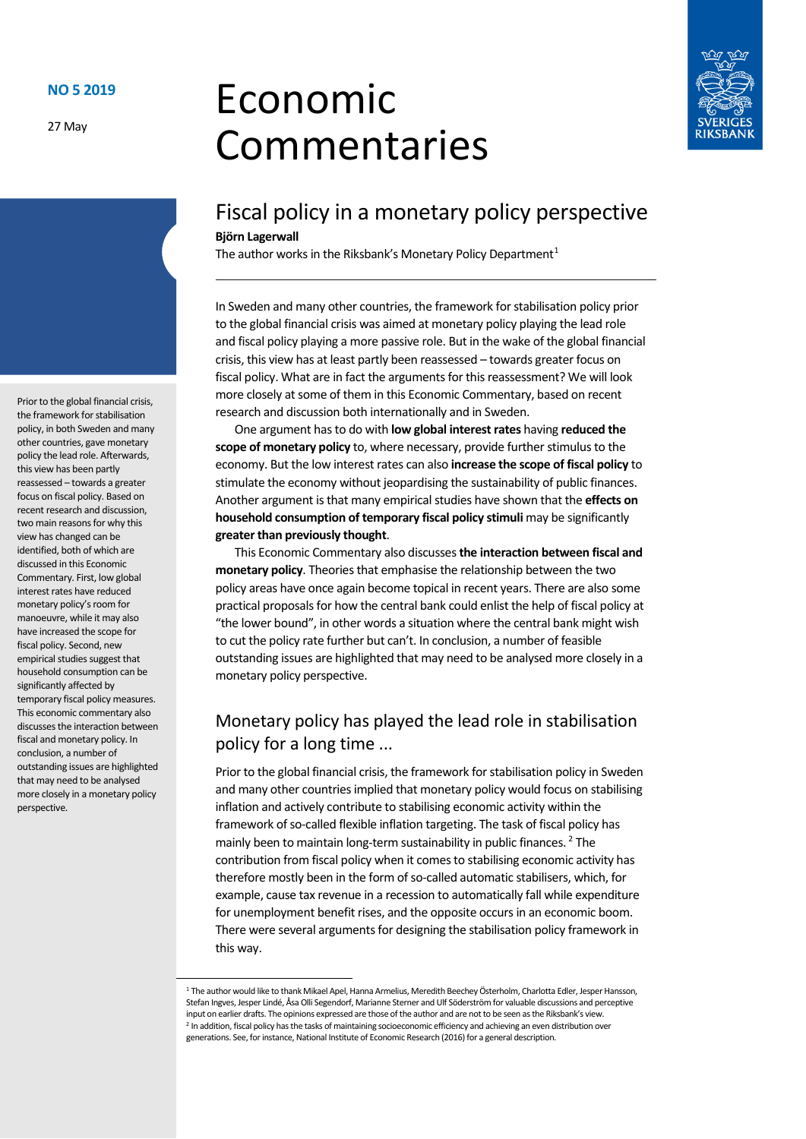27 May

# Economic Commentaries



# Fiscal policy in a monetary policy perspective **Björn Lagerwall**

The author works in the Riksbank's Monetary Policy Department<sup>[1](#page-0-0)</sup>

In Sweden and many other countries, the framework for stabilisation policy prior to the global financial crisis was aimed at monetary policy playing the lead role and fiscal policy playing a more passive role. But in the wake of the global financial crisis, this view has at least partly been reassessed – towards greater focus on fiscal policy. What are in fact the arguments for this reassessment? We will look more closely at some of them in this Economic Commentary, based on recent research and discussion both internationally and in Sweden.

One argument has to do with **low global interest rates** having **reduced the scope of monetary policy** to, where necessary, provide further stimulus to the economy. But the low interest rates can also **increase the scope of fiscal policy** to stimulate the economy without jeopardising the sustainability of public finances. Another argument is that many empirical studies have shown that the **effects on household consumption of temporary fiscal policy stimuli** may be significantly **greater than previously thought**.

This Economic Commentary also discusses **the interaction between fiscal and monetary policy**. Theories that emphasise the relationship between the two policy areas have once again become topical in recent years. There are also some practical proposals for how the central bank could enlist the help of fiscal policy at "the lower bound", in other words a situation where the central bank might wish to cut the policy rate further but can't. In conclusion, a number of feasible outstanding issues are highlighted that may need to be analysed more closely in a monetary policy perspective.

# Monetary policy has played the lead role in stabilisation policy for a long time ...

Prior to the global financial crisis, the framework for stabilisation policy in Sweden and many other countries implied that monetary policy would focus on stabilising inflation and actively contribute to stabilising economic activity within the framework of so-called flexible inflation targeting. The task of fiscal policy has mainly been to maintain long-term sustainability in public finances.<sup>[2](#page-0-1)</sup> The contribution from fiscal policy when it comes to stabilising economic activity has therefore mostly been in the form of so-called automatic stabilisers, which, for example, cause tax revenue in a recession to automatically fall while expenditure for unemployment benefit rises, and the opposite occurs in an economic boom. There were several arguments for designing the stabilisation policy framework in this way.

Prior to the global financial crisis, the framework for stabilisation policy, in both Sweden and many other countries, gave monetary policy the lead role. Afterwards, this view has been partly reassessed – towards a greater focus on fiscal policy. Based on recent research and discussion, two main reasons for why this view has changed can be identified, both of which are discussed in this Economic Commentary. First, low global interest rates have reduced monetary policy's room for manoeuvre, while it may also have increased the scope for fiscal policy. Second, new empirical studies suggest that household consumption can be significantly affected by temporary fiscal policy measures. This economic commentary also discusses the interaction between fiscal and monetary policy. In conclusion, a number of outstanding issues are highlighted that may need to be analysed more closely in a monetary policy perspective.

<span id="page-0-1"></span><span id="page-0-0"></span> <sup>1</sup> The author would like to thank Mikael Apel, Hanna Armelius, Meredith Beechey Österholm, Charlotta Edler, Jesper Hansson, Stefan Ingves, Jesper Lindé, Åsa Olli Segendorf, Marianne Sterner and Ulf Söderström for valuable discussions and perceptive input on earlier drafts. The opinions expressed are those of the author and are not to be seen as the Riksbank's view. <sup>2</sup> In addition, fiscal policy has the tasks of maintaining socioeconomic efficiency and achieving an even distribution over generations. See, for instance, National Institute of Economic Research (2016) for a general description.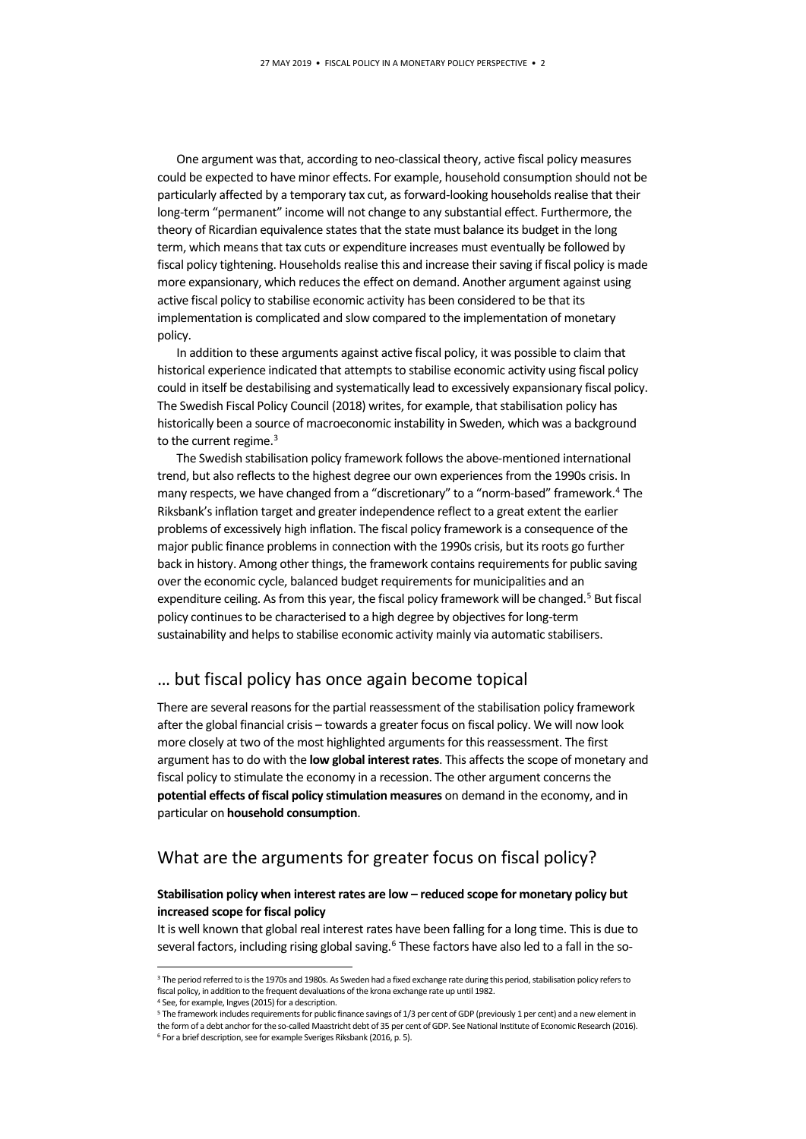One argument was that, according to neo-classical theory, active fiscal policy measures could be expected to have minor effects. For example, household consumption should not be particularly affected by a temporary tax cut, as forward-looking households realise that their long-term "permanent" income will not change to any substantial effect. Furthermore, the theory of Ricardian equivalence states that the state must balance its budget in the long term, which means that tax cuts or expenditure increases must eventually be followed by fiscal policy tightening. Households realise this and increase their saving if fiscal policy is made more expansionary, which reduces the effect on demand. Another argument against using active fiscal policy to stabilise economic activity has been considered to be that its implementation is complicated and slow compared to the implementation of monetary policy.

In addition to these arguments against active fiscal policy, it was possible to claim that historical experience indicated that attempts to stabilise economic activity using fiscal policy could in itself be destabilising and systematically lead to excessively expansionary fiscal policy. The Swedish Fiscal Policy Council (2018) writes, for example, that stabilisation policy has historically been a source of macroeconomic instability in Sweden, which was a background to the current regime. $3$ 

The Swedish stabilisation policy framework follows the above-mentioned international trend, but also reflects to the highest degree our own experiences from the 1990s crisis. In many respects, we have changed from a "discretionary" to a "norm-based" framework.[4](#page-1-1) The Riksbank's inflation target and greater independence reflect to a great extent the earlier problems of excessively high inflation. The fiscal policy framework is a consequence of the major public finance problems in connection with the 1990s crisis, but its roots go further back in history. Among other things, the framework contains requirements for public saving over the economic cycle, balanced budget requirements for municipalities and an expenditure ceiling. As from this year, the fiscal policy framework will be changed.<sup>[5](#page-1-2)</sup> But fiscal policy continues to be characterised to a high degree by objectives for long-term sustainability and helps to stabilise economic activity mainly via automatic stabilisers.

## … but fiscal policy has once again become topical

There are several reasons for the partial reassessment of the stabilisation policy framework after the global financial crisis – towards a greater focus on fiscal policy. We will now look more closely at two of the most highlighted arguments for this reassessment. The first argument has to do with the **low global interest rates**. This affects the scope of monetary and fiscal policy to stimulate the economy in a recession. The other argument concerns the **potential effects of fiscal policy stimulation measures** on demand in the economy, and in particular on **household consumption**.

## What are the arguments for greater focus on fiscal policy?

## **Stabilisation policy when interest rates are low – reduced scope for monetary policy but increased scope for fiscal policy**

It is well known that global real interest rates have been falling for a long time. This is due to several factors, including rising global saving.<sup>6</sup> These factors have also led to a fall in the so-

<sup>4</sup> See, for example, Ingves (2015) for a description.

<span id="page-1-0"></span><sup>&</sup>lt;sup>3</sup> The period referred to is the 1970s and 1980s. As Sweden had a fixed exchange rate during this period, stabilisation policy refers to fiscal policy, in addition to the frequent devaluations of the krona exchange rate up until 1982.

<span id="page-1-3"></span><span id="page-1-2"></span><span id="page-1-1"></span><sup>5</sup> The framework includes requirements for public finance savings of 1/3 per cent of GDP (previously 1 per cent) and a new element in the form of a debt anchor for the so-called Maastricht debt of 35 per cent of GDP. See National Institute of Economic Research (2016). <sup>6</sup> For a brief description, see for example Sveriges Riksbank (2016, p. 5).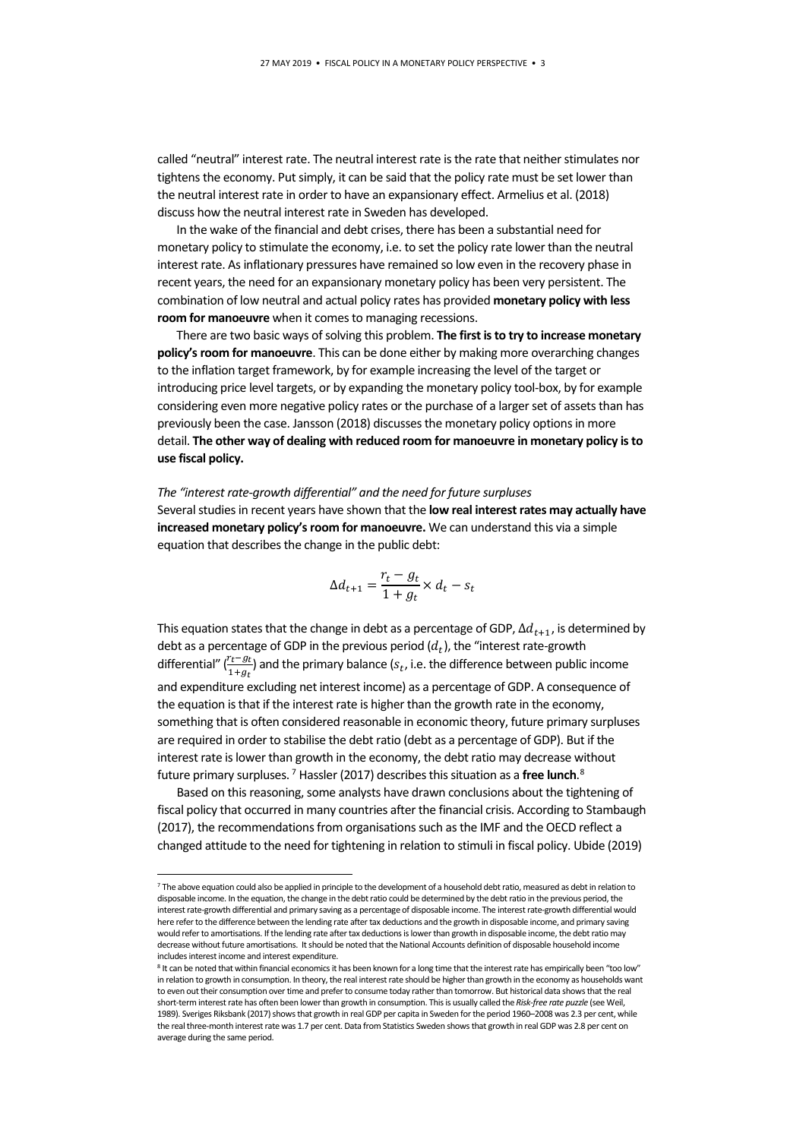called "neutral" interest rate. The neutral interest rate is the rate that neither stimulates nor tightens the economy. Put simply, it can be said that the policy rate must be set lower than the neutral interest rate in order to have an expansionary effect. Armelius et al. (2018) discuss how the neutral interest rate in Sweden has developed.

In the wake of the financial and debt crises, there has been a substantial need for monetary policy to stimulate the economy, i.e. to set the policy rate lower than the neutral interest rate. As inflationary pressures have remained so low even in the recovery phase in recent years, the need for an expansionary monetary policy has been very persistent. The combination of low neutral and actual policy rates has provided **monetary policy with less room for manoeuvre** when it comes to managing recessions.

There are two basic ways of solving this problem. **The first is to try to increase monetary policy's room for manoeuvre**. This can be done either by making more overarching changes to the inflation target framework, by for example increasing the level of the target or introducing price level targets, or by expanding the monetary policy tool-box, by for example considering even more negative policy rates or the purchase of a larger set of assets than has previously been the case. Jansson (2018) discusses the monetary policy options in more detail. **The other way of dealing with reduced room for manoeuvre in monetary policy is to use fiscal policy.**

#### *The "interest rate-growth differential" and the need for future surpluses*

Several studies in recent years have shown that the **low real interest rates may actually have increased monetary policy's room for manoeuvre.** We can understand this via a simple equation that describes the change in the public debt:

$$
\Delta d_{t+1} = \frac{r_t - g_t}{1 + g_t} \times d_t - s_t
$$

This equation states that the change in debt as a percentage of GDP,  $\Delta d_{t+1}$ , is determined by debt as a percentage of GDP in the previous period  $(d_t)$ , the "interest rate-growth differential"  $(\frac{r_t - g_t}{1 + g_t})$  and the primary balance ( $s_t$ , i.e. the difference between public income and expenditure excluding net interest income) as a percentage of GDP. A consequence of the equation is that if the interest rate is higher than the growth rate in the economy, something that is often considered reasonable in economic theory, future primary surpluses are required in order to stabilise the debt ratio (debt as a percentage of GDP). But if the interest rate is lower than growth in the economy, the debt ratio may decrease without future primary surpluses. [7](#page-2-0) Hassler (2017) describes this situation as a **free lunch**. [8](#page-2-1)

Based on this reasoning, some analysts have drawn conclusions about the tightening of fiscal policy that occurred in many countries after the financial crisis. According to Stambaugh (2017), the recommendations from organisations such as the IMF and the OECD reflect a changed attitude to the need for tightening in relation to stimuli in fiscal policy. Ubide (2019)

<span id="page-2-0"></span><sup>7</sup> The above equation could also be applied in principle to the development of a household debt ratio, measured as debt in relation to disposable income. In the equation, the change in the debt ratio could be determined by the debt ratio in the previous period, the interest rate-growth differential and primary saving as a percentage of disposable income. The interest rate-growth differential would here refer to the difference between the lending rate after tax deductions and the growth in disposable income, and primary saving would refer to amortisations. If the lending rate after tax deductions is lower than growth in disposable income, the debt ratio may decrease without future amortisations. It should be noted that the National Accounts definition of disposable household income includes interest income and interest expenditure.

<span id="page-2-1"></span><sup>8</sup> It can be noted that within financial economics it has been known for a long time that the interest rate has empirically been "too low in relation to growth in consumption. In theory, the real interest rate should be higher than growth in the economy as households want to even out their consumption over time and prefer to consume today ratherthan tomorrow. But historical data shows that the real short-term interest rate has often been lower than growth in consumption. This is usually called the *Risk-free rate puzzle* (see Weil, 1989). Sveriges Riksbank (2017) shows that growth in real GDP per capita in Sweden for the period 1960–2008 was 2.3 per cent, while the real three-month interest rate was 1.7 per cent. Data from Statistics Sweden shows that growth in real GDP was 2.8 per cent on average during the same period.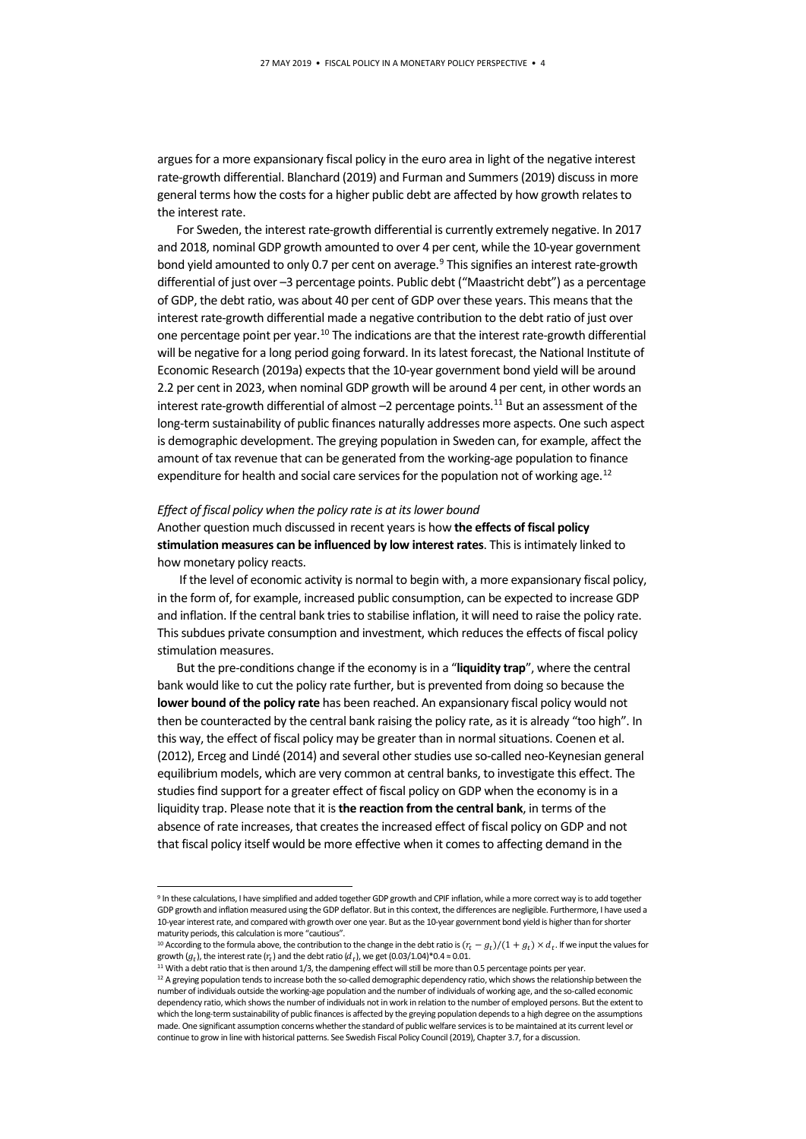argues for a more expansionary fiscal policy in the euro area in light of the negative interest rate-growth differential. Blanchard (2019) and Furman and Summers (2019) discuss in more general terms how the costs for a higher public debt are affected by how growth relates to the interest rate.

For Sweden, the interest rate-growth differential is currently extremely negative. In 2017 and 2018, nominal GDP growth amounted to over 4 per cent, while the 10-year government bond yield amounted to only 0.7 per cent on average.<sup>[9](#page-3-0)</sup> This signifies an interest rate-growth differential of just over –3 percentage points. Public debt ("Maastricht debt") as a percentage of GDP, the debt ratio, was about 40 per cent of GDP over these years. This means that the interest rate-growth differential made a negative contribution to the debt ratio of just over one percentage point per year.<sup>[10](#page-3-1)</sup> The indications are that the interest rate-growth differential will be negative for a long period going forward. In its latest forecast, the National Institute of Economic Research (2019a) expects that the 10-year government bond yield will be around 2.2 per cent in 2023, when nominal GDP growth will be around 4 per cent, in other words an interest rate-growth differential of almost  $-2$  percentage points.<sup>[11](#page-3-2)</sup> But an assessment of the long-term sustainability of public finances naturally addresses more aspects. One such aspect is demographic development. The greying population in Sweden can, for example, affect the amount of tax revenue that can be generated from the working-age population to finance expenditure for health and social care services for the population not of working age.<sup>[12](#page-3-3)</sup>

### *Effect of fiscal policy when the policy rate is at its lower bound*

Another question much discussed in recent years is how **the effects of fiscal policy stimulation measures can be influenced by low interest rates**. This is intimately linked to how monetary policy reacts.

If the level of economic activity is normal to begin with, a more expansionary fiscal policy, in the form of, for example, increased public consumption, can be expected to increase GDP and inflation. If the central bank tries to stabilise inflation, it will need to raise the policy rate. This subdues private consumption and investment, which reduces the effects of fiscal policy stimulation measures.

But the pre-conditions change if the economy is in a "**liquidity trap**", where the central bank would like to cut the policy rate further, but is prevented from doing so because the **lower bound of the policy rate** has been reached. An expansionary fiscal policy would not then be counteracted by the central bank raising the policy rate, as it is already "too high". In this way, the effect of fiscal policy may be greater than in normal situations. Coenen et al. (2012), Erceg and Lindé (2014) and several other studies use so-called neo-Keynesian general equilibrium models, which are very common at central banks, to investigate this effect. The studies find support for a greater effect of fiscal policy on GDP when the economy is in a liquidity trap. Please note that it is **the reaction from the central bank**, in terms of the absence of rate increases, that creates the increased effect of fiscal policy on GDP and not that fiscal policy itself would be more effective when it comes to affecting demand in the

<span id="page-3-0"></span> <sup>9</sup> In these calculations, I have simplified and added together GDP growth and CPIF inflation, while a more correct way is to add together GDP growth and inflation measured using the GDP deflator. But in this context, the differences are negligible. Furthermore, I have used a 10-year interest rate, and compared with growth over one year. But as the 10-year government bond yield is higher than for shorter maturity periods, this calculation is more "cautious".

<span id="page-3-1"></span><sup>&</sup>lt;sup>10</sup> According to the formula above, the contribution to the change in the debt ratio is  $(r_t - g_t)/(1 + g_t) \times d_t$ . If we input the values for growth  $(g_t)$ , the interest rate  $(r_t)$  and the debt ratio  $(d_t)$ , we get  $(0.03/1.04)^*0.$ 

<sup>&</sup>lt;sup>11</sup> With a debt ratio that is then around 1/3, the dampening effect will still be more than 0.5 percentage points per year.

<span id="page-3-3"></span><span id="page-3-2"></span><sup>&</sup>lt;sup>12</sup> A greying population tends to increase both the so-called demographic dependency ratio, which shows the relationship between the number of individuals outside the working-age population and the number of individuals of working age, and the so-called economic dependency ratio, which shows the number of individuals not in work in relation to the number of employed persons. But the extent to which the long-term sustainability of public finances is affected by the greying population depends to a high degree on the assumptions made. One significant assumption concerns whether the standard of public welfare services is to be maintained at its current level or continue to grow in line with historical patterns. See Swedish Fiscal Policy Council (2019), Chapter 3.7, for a discussion.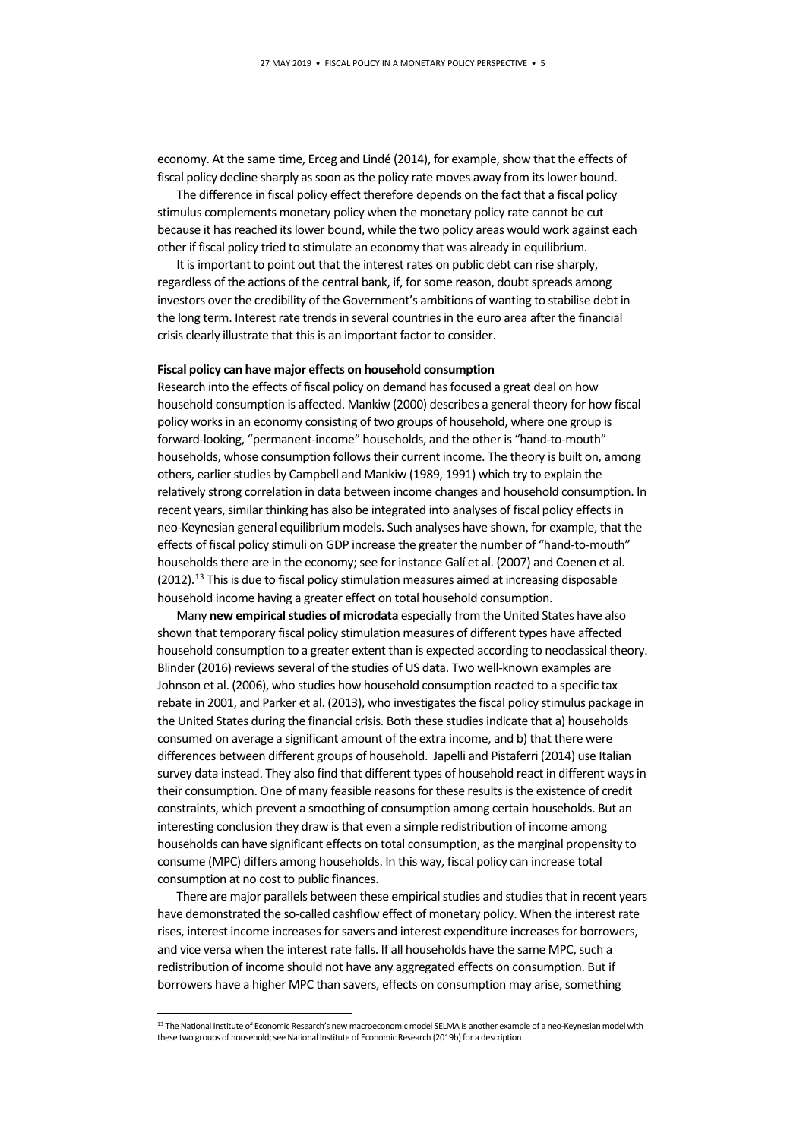economy. At the same time, Erceg and Lindé (2014), for example, show that the effects of fiscal policy decline sharply as soon as the policy rate moves away from its lower bound.

The difference in fiscal policy effect therefore depends on the fact that a fiscal policy stimulus complements monetary policy when the monetary policy rate cannot be cut because it has reached its lower bound, while the two policy areas would work against each other if fiscal policy tried to stimulate an economy that was already in equilibrium.

It is important to point out that the interest rates on public debt can rise sharply, regardless of the actions of the central bank, if, for some reason, doubt spreads among investors over the credibility of the Government's ambitions of wanting to stabilise debt in the long term. Interest rate trends in several countries in the euro area after the financial crisis clearly illustrate that this is an important factor to consider.

#### **Fiscal policy can have major effects on household consumption**

Research into the effects of fiscal policy on demand has focused a great deal on how household consumption is affected. Mankiw (2000) describes a general theory for how fiscal policy works in an economy consisting of two groups of household, where one group is forward-looking, "permanent-income" households, and the other is "hand-to-mouth" households, whose consumption follows their current income. The theory is built on, among others, earlier studies by Campbell and Mankiw (1989, 1991) which try to explain the relatively strong correlation in data between income changes and household consumption. In recent years, similar thinking has also be integrated into analyses of fiscal policy effects in neo-Keynesian general equilibrium models. Such analyses have shown, for example, that the effects of fiscal policy stimuli on GDP increase the greater the number of "hand-to-mouth" households there are in the economy; see for instance Galí et al. (2007) and Coenen et al. (2012).<sup>[13](#page-4-0)</sup> This is due to fiscal policy stimulation measures aimed at increasing disposable household income having a greater effect on total household consumption.

Many **new empirical studies of microdata** especially from the United States have also shown that temporary fiscal policy stimulation measures of different types have affected household consumption to a greater extent than is expected according to neoclassical theory. Blinder (2016) reviews several of the studies of US data. Two well-known examples are Johnson et al. (2006), who studies how household consumption reacted to a specific tax rebate in 2001, and Parker et al. (2013), who investigates the fiscal policy stimulus package in the United States during the financial crisis. Both these studies indicate that a) households consumed on average a significant amount of the extra income, and b) that there were differences between different groups of household. Japelli and Pistaferri (2014) use Italian survey data instead. They also find that different types of household react in different ways in their consumption. One of many feasible reasons for these results is the existence of credit constraints, which prevent a smoothing of consumption among certain households. But an interesting conclusion they draw is that even a simple redistribution of income among households can have significant effects on total consumption, as the marginal propensity to consume (MPC) differs among households. In this way, fiscal policy can increase total consumption at no cost to public finances.

There are major parallels between these empirical studies and studies that in recent years have demonstrated the so-called cashflow effect of monetary policy. When the interest rate rises, interest income increases for savers and interest expenditure increases for borrowers, and vice versa when the interest rate falls. If all households have the same MPC, such a redistribution of income should not have any aggregated effects on consumption. But if borrowers have a higher MPC than savers, effects on consumption may arise, something

<span id="page-4-0"></span><sup>&</sup>lt;sup>13</sup> The National Institute of Economic Research's new macroeconomic model SELMA is another example of a neo-Keynesian model with these two groups of household; see National Institute of Economic Research (2019b) for a description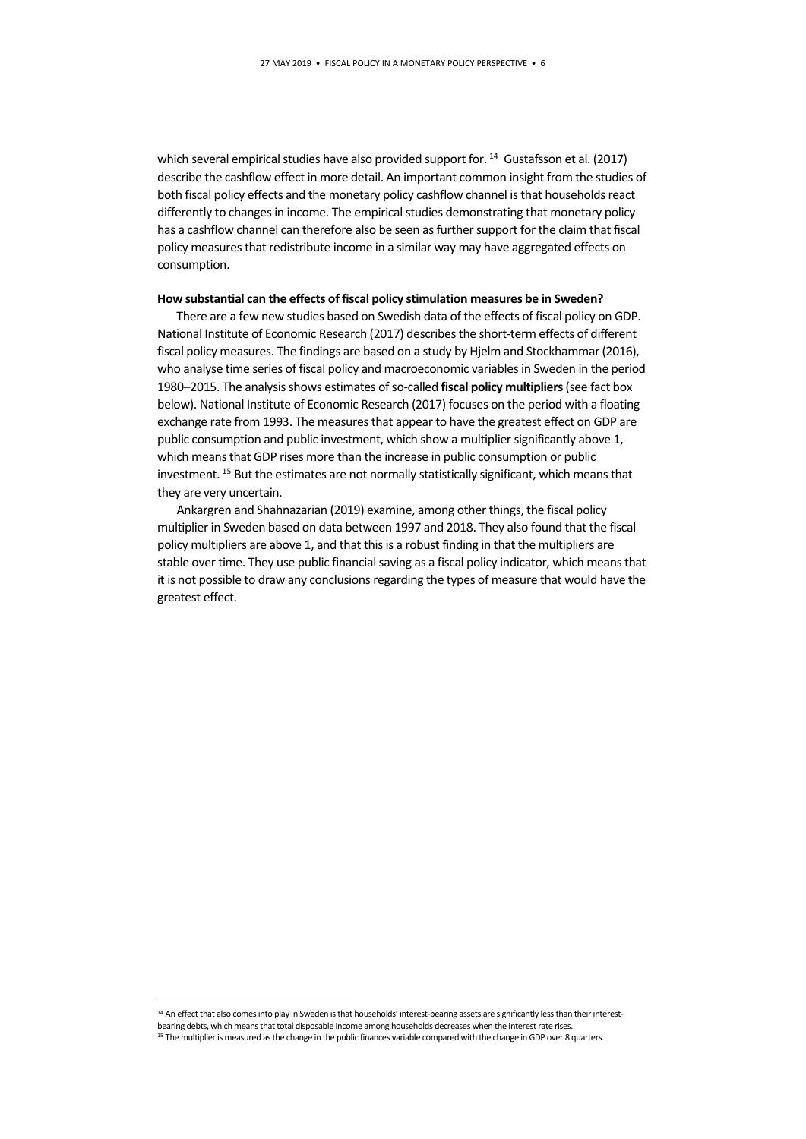which several empirical studies have also provided support for.<sup>[14](#page-5-0)</sup> Gustafsson et al. (2017) describe the cashflow effect in more detail. An important common insight from the studies of both fiscal policy effects and the monetary policy cashflow channel is that households react differently to changes in income. The empirical studies demonstrating that monetary policy has a cashflow channel can therefore also be seen as further support for the claim that fiscal policy measures that redistribute income in a similar way may have aggregated effects on consumption.

#### **How substantial can the effects of fiscal policy stimulation measures be in Sweden?**

There are a few new studies based on Swedish data of the effects of fiscal policy on GDP. National Institute of Economic Research (2017) describes the short-term effects of different fiscal policy measures. The findings are based on a study by Hjelm and Stockhammar (2016), who analyse time series of fiscal policy and macroeconomic variables in Sweden in the period 1980–2015. The analysis shows estimates of so-called **fiscal policy multipliers**(see fact box below). National Institute of Economic Research (2017) focuses on the period with a floating exchange rate from 1993. The measures that appear to have the greatest effect on GDP are public consumption and public investment, which show a multiplier significantly above 1, which means that GDP rises more than the increase in public consumption or public investment. [15](#page-5-1) But the estimates are not normally statistically significant, which means that they are very uncertain.

Ankargren and Shahnazarian (2019) examine, among other things, the fiscal policy multiplier in Sweden based on data between 1997 and 2018. They also found that the fiscal policy multipliers are above 1, and that this is a robust finding in that the multipliers are stable over time. They use public financial saving as a fiscal policy indicator, which means that it is not possible to draw any conclusions regarding the types of measure that would have the greatest effect.

<span id="page-5-1"></span><span id="page-5-0"></span><sup>14</sup> An effect that also comes into play in Sweden is that households' interest-bearing assets are significantly less than their interestbearing debts, which means that total disposable income among households decreases when the interest rate rises. <sup>15</sup> The multiplier is measured as the change in the public finances variable compared with the change in GDP over 8 quarters.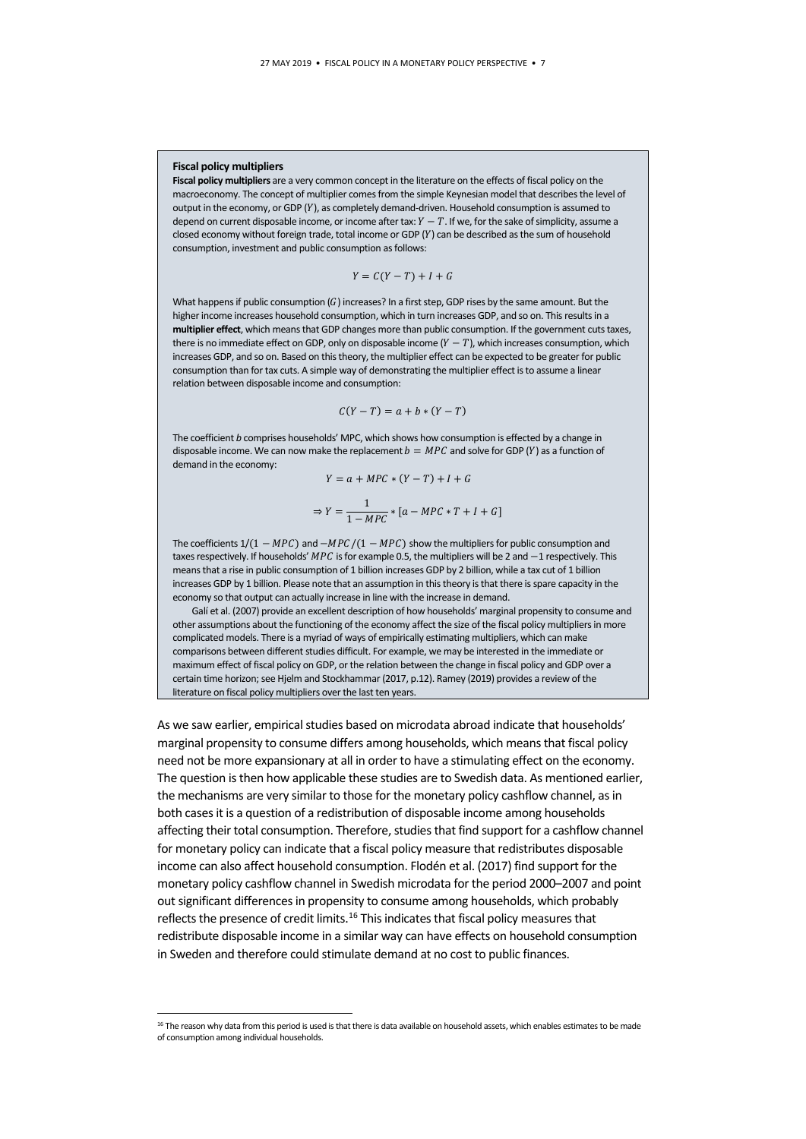#### **Fiscal policy multipliers**

**Fiscal policy multipliers** are a very common concept in the literature on the effects of fiscal policy on the macroeconomy. The concept of multiplier comes from the simple Keynesian model that describes the level of output in the economy, or GDP (Y), as completely demand-driven. Household consumption is assumed to depend on current disposable income, or income after tax:  $Y - T$ . If we, for the sake of simplicity, assume a closed economy without foreign trade, total income or GDP  $(Y)$  can be described as the sum of household consumption, investment and public consumption as follows:

$$
Y = C(Y - T) + I + G
$$

What happens if public consumption  $(G)$  increases? In a first step, GDP rises by the same amount. But the higher income increases household consumption, which in turn increases GDP, and so on. This results in a **multiplier effect**, which means that GDP changes more than public consumption. If the government cuts taxes, there is no immediate effect on GDP, only on disposable income  $(Y - T)$ , which increases consumption, which increases GDP, and so on. Based on this theory, the multiplier effect can be expected to be greater for public consumption than for tax cuts. A simple way of demonstrating the multiplier effect is to assume a linear relation between disposable income and consumption:

$$
C(Y-T) = a + b * (Y-T)
$$

The coefficient *b* comprises households' MPC, which shows how consumption is effected by a change in disposable income. We can now make the replacement  $b = MPC$  and solve for GDP (Y) as a function of demand in the economy:

$$
Y = a + MPC * (Y - T) + I + G
$$

$$
\Rightarrow Y = \frac{1}{1 - MPC} * [a - MPC * T + I + G]
$$

The coefficients  $1/(1 - MPC)$  and  $-MPC/(1 - MPC)$  show the multipliers for public consumption and taxes respectively. If households'  $MPC$  is for example 0.5, the multipliers will be 2 and  $-1$  respectively. This means that a rise in public consumption of 1 billion increases GDP by 2 billion, while a tax cut of 1 billion increases GDP by 1 billion. Please note that an assumption in this theory is that there is spare capacity in the economy so that output can actually increase in line with the increase in demand.

Galí et al. (2007) provide an excellent description of how households' marginal propensity to consume and other assumptions about the functioning of the economy affect the size of the fiscal policy multipliers in more complicated models. There is a myriad of ways of empirically estimating multipliers, which can make comparisons between different studies difficult. For example, we may be interested in the immediate or maximum effect of fiscal policy on GDP, or the relation between the change in fiscal policy and GDP over a certain time horizon; see Hjelm and Stockhammar (2017, p.12). Ramey (2019) provides a review of the literature on fiscal policy multipliers over the last ten years.

As we saw earlier, empirical studies based on microdata abroad indicate that households' marginal propensity to consume differs among households, which means that fiscal policy need not be more expansionary at all in order to have a stimulating effect on the economy. The question is then how applicable these studies are to Swedish data. As mentioned earlier, the mechanisms are very similar to those for the monetary policy cashflow channel, as in both cases it is a question of a redistribution of disposable income among households affecting their total consumption. Therefore, studies that find support for a cashflow channel for monetary policy can indicate that a fiscal policy measure that redistributes disposable income can also affect household consumption. Flodén et al. (2017) find support for the monetary policy cashflow channel in Swedish microdata for the period 2000–2007 and point out significant differences in propensity to consume among households, which probably reflects the presence of credit limits.<sup>[16](#page-6-0)</sup> This indicates that fiscal policy measures that redistribute disposable income in a similar way can have effects on household consumption in Sweden and therefore could stimulate demand at no cost to public finances.

<span id="page-6-0"></span><sup>&</sup>lt;sup>16</sup> The reason why data from this period is used is that there is data available on household assets, which enables estimates to be made of consumption among individual households.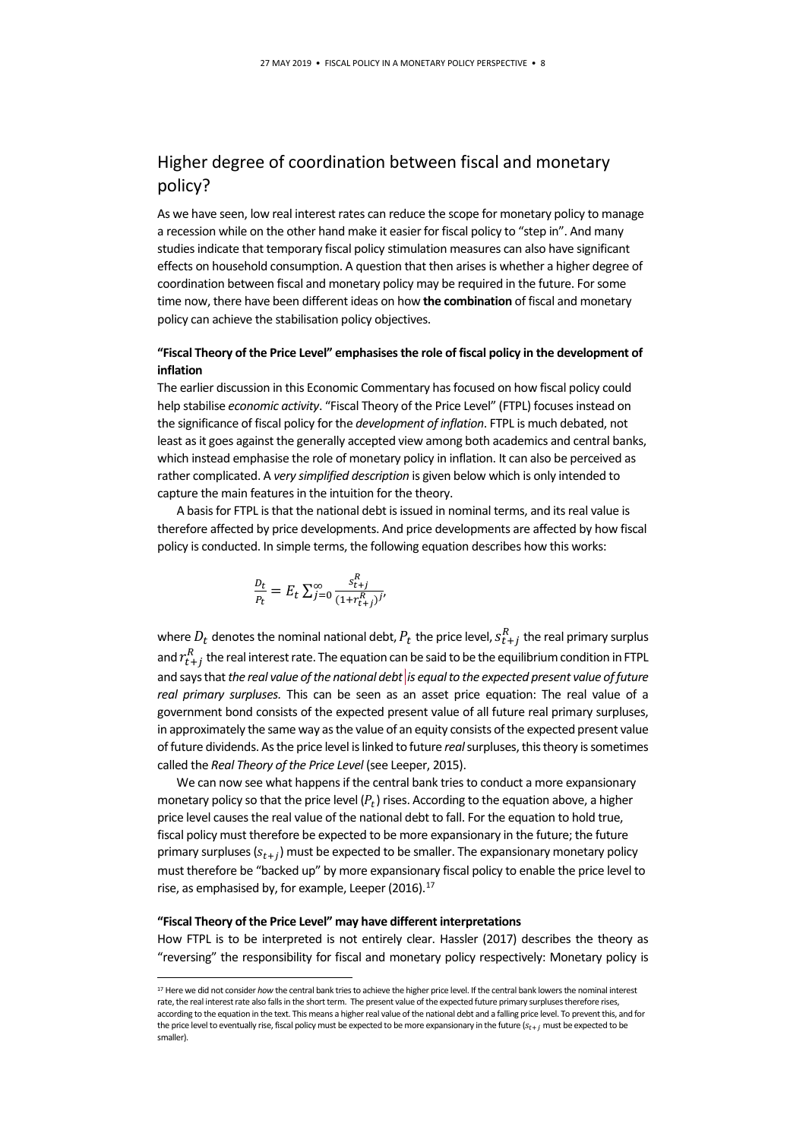# Higher degree of coordination between fiscal and monetary policy?

As we have seen, low real interest rates can reduce the scope for monetary policy to manage a recession while on the other hand make it easier for fiscal policy to "step in". And many studies indicate that temporary fiscal policy stimulation measures can also have significant effects on household consumption. A question that then arises is whether a higher degree of coordination between fiscal and monetary policy may be required in the future. For some time now, there have been different ideas on how **the combination** of fiscal and monetary policy can achieve the stabilisation policy objectives.

## **"Fiscal Theory of the Price Level" emphasises the role of fiscal policy in the development of inflation**

The earlier discussion in this Economic Commentary has focused on how fiscal policy could help stabilise *economic activity*. "Fiscal Theory of the Price Level" (FTPL) focuses instead on the significance of fiscal policy for the *development of inflation*. FTPL is much debated, not least as it goes against the generally accepted view among both academics and central banks, which instead emphasise the role of monetary policy in inflation. It can also be perceived as rather complicated. A *very simplified description* is given below which is only intended to capture the main features in the intuition for the theory.

A basis for FTPL is that the national debt is issued in nominal terms, and its real value is therefore affected by price developments. And price developments are affected by how fiscal policy is conducted. In simple terms, the following equation describes how this works:

$$
\frac{D_t}{P_t} = E_t \sum_{j=0}^{\infty} \frac{s_{t+j}^R}{(1 + r_{t+j}^R)^{j'}}
$$

where  $D_t$  denotes the nominal national debt,  $P_t$  the price level,  $s_{t+j}^R$  the real primary surplus and  $r_{t+j}^R$  the real interest rate. The equation can be said to be the equilibrium condition in FTPL and says that *the real value of the national debt is equal to the expected present value of future real primary surpluses.* This can be seen as an asset price equation: The real value of a government bond consists of the expected present value of all future real primary surpluses, in approximately the same way as the value of an equity consists of the expected present value of future dividends. As the price level is linked to future *real*surpluses, this theory is sometimes called the *Real Theory of the Price Level* (see Leeper, 2015).

We can now see what happens if the central bank tries to conduct a more expansionary monetary policy so that the price level  $(P_t)$  rises. According to the equation above, a higher price level causes the real value of the national debt to fall. For the equation to hold true, fiscal policy must therefore be expected to be more expansionary in the future; the future primary surpluses  $(s_{t+j})$  must be expected to be smaller. The expansionary monetary policy must therefore be "backed up" by more expansionary fiscal policy to enable the price level to rise, as emphasised by, for example, Leeper (2016).<sup>[17](#page-7-0)</sup>

#### **"Fiscal Theory of the Price Level" may have different interpretations**

How FTPL is to be interpreted is not entirely clear. Hassler (2017) describes the theory as "reversing" the responsibility for fiscal and monetary policy respectively: Monetary policy is

<span id="page-7-0"></span><sup>&</sup>lt;sup>17</sup> Here we did not consider *how* the central bank tries to achieve the higher price level. If the central bank lowers the nominal interest rate, the real interest rate also falls in the short term. The present value of the expected future primary surpluses therefore rises, according to the equation in the text. This means a higher real value of the national debt and a falling price level. To prevent this, and for the price level to eventually rise, fiscal policy must be expected to be more expansionary in the future  $(s_{t+i}$  must be expected to be smaller).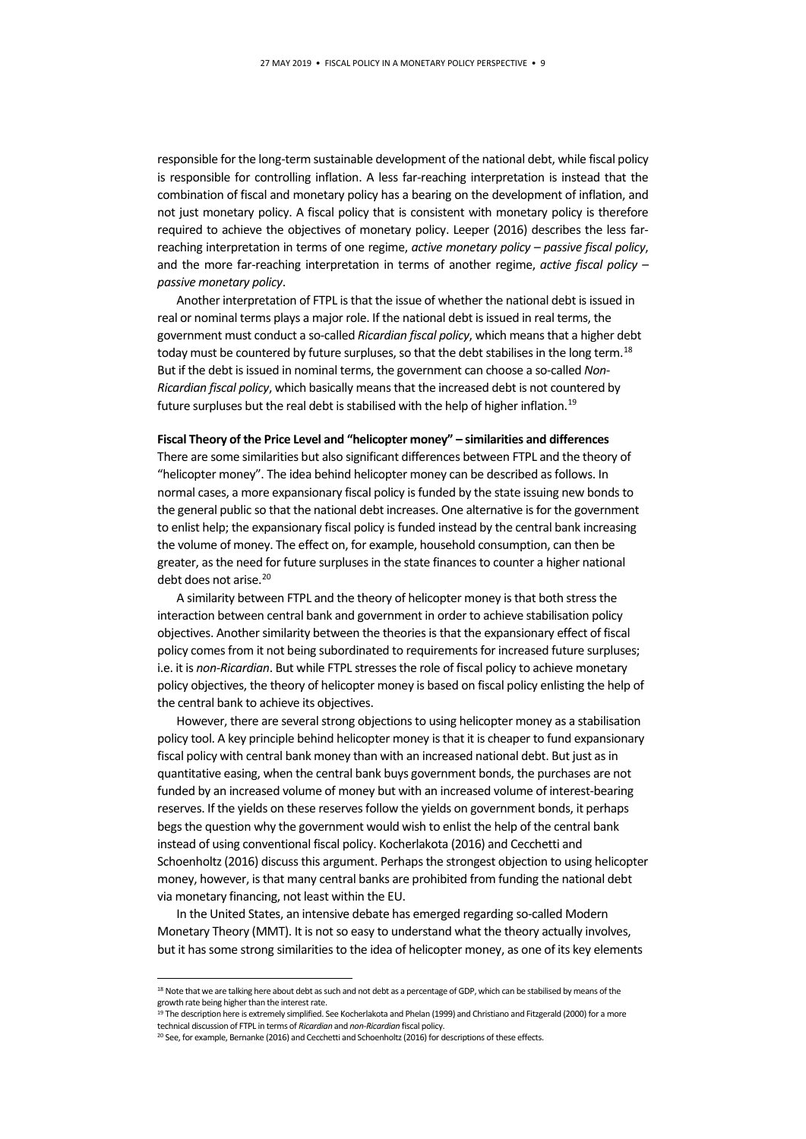responsible for the long-term sustainable development of the national debt, while fiscal policy is responsible for controlling inflation. A less far-reaching interpretation is instead that the combination of fiscal and monetary policy has a bearing on the development of inflation, and not just monetary policy. A fiscal policy that is consistent with monetary policy is therefore required to achieve the objectives of monetary policy. Leeper (2016) describes the less farreaching interpretation in terms of one regime, *active monetary policy – passive fiscal policy*, and the more far-reaching interpretation in terms of another regime, *active fiscal policy – passive monetary policy*.

Another interpretation of FTPL is that the issue of whether the national debt is issued in real or nominal terms plays a major role. If the national debt is issued in real terms, the government must conduct a so-called *Ricardian fiscal policy*, which means that a higher debt today must be countered by future surpluses, so that the debt stabilises in the long term.<sup>[18](#page-8-0)</sup> But if the debt is issued in nominal terms, the government can choose a so-called *Non-Ricardian fiscal policy*, which basically means that the increased debt is not countered by future surpluses but the real debt is stabilised with the help of higher inflation.<sup>[19](#page-8-1)</sup>

#### **Fiscal Theory of the Price Level and "helicopter money" – similarities and differences**

There are some similarities but also significant differences between FTPL and the theory of "helicopter money". The idea behind helicopter money can be described as follows. In normal cases, a more expansionary fiscal policy is funded by the state issuing new bonds to the general public so that the national debt increases. One alternative is for the government to enlist help; the expansionary fiscal policy is funded instead by the central bank increasing the volume of money. The effect on, for example, household consumption, can then be greater, as the need for future surpluses in the state finances to counter a higher national debt does not arise.<sup>[20](#page-8-2)</sup>

A similarity between FTPL and the theory of helicopter money is that both stress the interaction between central bank and government in order to achieve stabilisation policy objectives. Another similarity between the theories is that the expansionary effect of fiscal policy comes from it not being subordinated to requirements for increased future surpluses; i.e. it is *non-Ricardian*. But while FTPL stresses the role of fiscal policy to achieve monetary policy objectives, the theory of helicopter money is based on fiscal policy enlisting the help of the central bank to achieve its objectives.

However, there are several strong objections to using helicopter money as a stabilisation policy tool. A key principle behind helicopter money is that it is cheaper to fund expansionary fiscal policy with central bank money than with an increased national debt. But just as in quantitative easing, when the central bank buys government bonds, the purchases are not funded by an increased volume of money but with an increased volume of interest-bearing reserves. If the yields on these reserves follow the yields on government bonds, it perhaps begs the question why the government would wish to enlist the help of the central bank instead of using conventional fiscal policy. Kocherlakota (2016) and Cecchetti and Schoenholtz (2016) discuss this argument. Perhaps the strongest objection to using helicopter money, however, is that many central banks are prohibited from funding the national debt via monetary financing, not least within the EU.

In the United States, an intensive debate has emerged regarding so-called Modern Monetary Theory (MMT). It is not so easy to understand what the theory actually involves, but it has some strong similarities to the idea of helicopter money, as one of its key elements

<span id="page-8-0"></span><sup>18</sup> Note that we are talking here about debt as such and not debt as a percentage of GDP, which can be stabilised by means of the growth rate being higher than the interest rate.

<span id="page-8-1"></span><sup>19</sup> The description here is extremely simplified. See Kocherlakota and Phelan (1999) and Christiano and Fitzgerald (2000) for a more technical discussion of FTPL in terms of *Ricardian* and *non-Ricardian* fiscal policy.

<span id="page-8-2"></span><sup>20</sup> See, for example, Bernanke (2016) and Cecchetti and Schoenholtz (2016) for descriptions of these effects.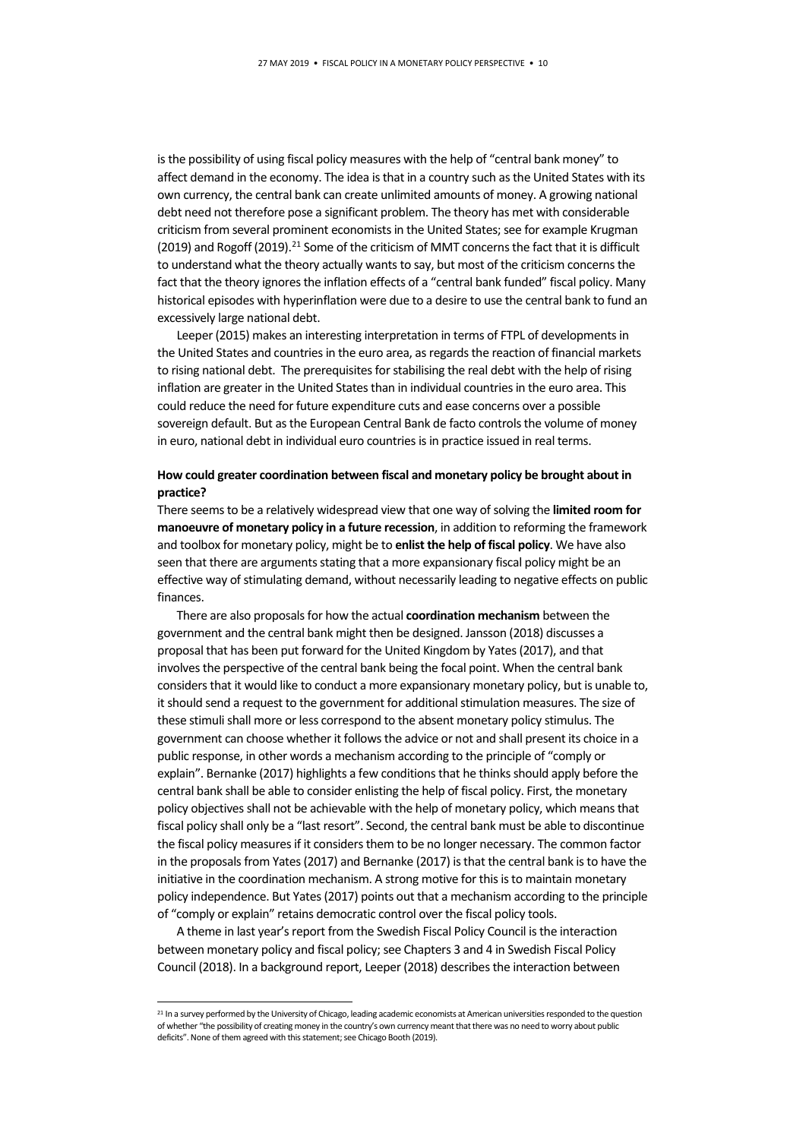is the possibility of using fiscal policy measures with the help of "central bank money" to affect demand in the economy. The idea is that in a country such as the United States with its own currency, the central bank can create unlimited amounts of money. A growing national debt need not therefore pose a significant problem. The theory has met with considerable criticism from several prominent economists in the United States; see for example Krugman (2019) and Rogoff (2019).<sup>[21](#page-9-0)</sup> Some of the criticism of MMT concerns the fact that it is difficult to understand what the theory actually wants to say, but most of the criticism concerns the fact that the theory ignores the inflation effects of a "central bank funded" fiscal policy. Many historical episodes with hyperinflation were due to a desire to use the central bank to fund an excessively large national debt.

Leeper (2015) makes an interesting interpretation in terms of FTPL of developments in the United States and countries in the euro area, as regards the reaction of financial markets to rising national debt. The prerequisites for stabilising the real debt with the help of rising inflation are greater in the United States than in individual countries in the euro area. This could reduce the need for future expenditure cuts and ease concerns over a possible sovereign default. But as the European Central Bank de facto controls the volume of money in euro, national debt in individual euro countries is in practice issued in real terms.

## **How could greater coordination between fiscal and monetary policy be brought about in practice?**

There seems to be a relatively widespread view that one way of solving the **limited room for manoeuvre of monetary policy in a future recession**, in addition to reforming the framework and toolbox for monetary policy, might be to **enlist the help of fiscal policy**. We have also seen that there are arguments stating that a more expansionary fiscal policy might be an effective way of stimulating demand, without necessarily leading to negative effects on public finances.

There are also proposals for how the actual **coordination mechanism** between the government and the central bank might then be designed. Jansson (2018) discusses a proposal that has been put forward for the United Kingdom by Yates (2017), and that involves the perspective of the central bank being the focal point. When the central bank considers that it would like to conduct a more expansionary monetary policy, but is unable to, it should send a request to the government for additional stimulation measures. The size of these stimuli shall more or less correspond to the absent monetary policy stimulus. The government can choose whether it follows the advice or not and shall present its choice in a public response, in other words a mechanism according to the principle of "comply or explain". Bernanke (2017) highlights a few conditions that he thinks should apply before the central bank shall be able to consider enlisting the help of fiscal policy. First, the monetary policy objectives shall not be achievable with the help of monetary policy, which means that fiscal policy shall only be a "last resort". Second, the central bank must be able to discontinue the fiscal policy measures if it considers them to be no longer necessary. The common factor in the proposals from Yates (2017) and Bernanke (2017) is that the central bank is to have the initiative in the coordination mechanism. A strong motive for this is to maintain monetary policy independence. But Yates (2017) points out that a mechanism according to the principle of "comply or explain" retains democratic control over the fiscal policy tools.

A theme in last year's report from the Swedish Fiscal Policy Council is the interaction between monetary policy and fiscal policy; see Chapters 3 and 4 in Swedish Fiscal Policy Council (2018). In a background report, Leeper (2018) describes the interaction between

<span id="page-9-0"></span><sup>&</sup>lt;sup>21</sup> In a survey performed by the University of Chicago, leading academic economists at American universities responded to the question of whether "the possibility of creating money in the country's own currency meant that there was no need to worry about public deficits". None of them agreed with this statement; see Chicago Booth (2019).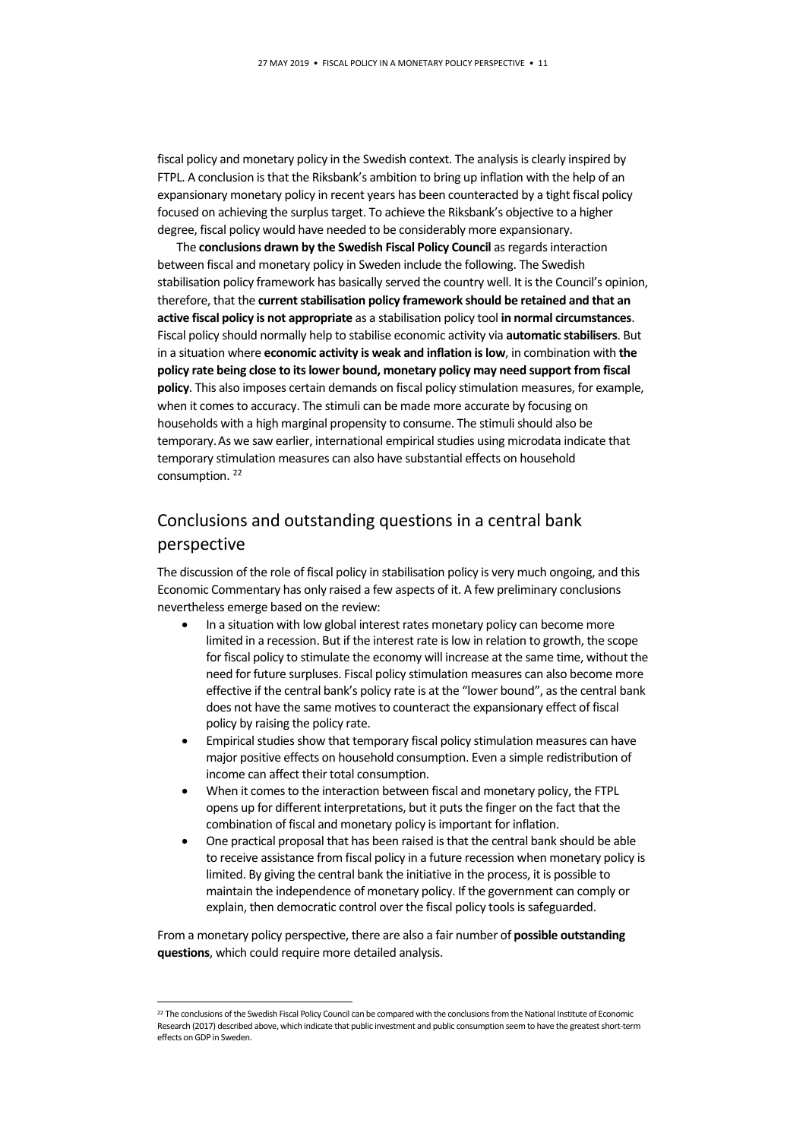fiscal policy and monetary policy in the Swedish context. The analysis is clearly inspired by FTPL. A conclusion is that the Riksbank's ambition to bring up inflation with the help of an expansionary monetary policy in recent years has been counteracted by a tight fiscal policy focused on achieving the surplus target. To achieve the Riksbank's objective to a higher degree, fiscal policy would have needed to be considerably more expansionary.

The **conclusions drawn by the Swedish Fiscal Policy Council** as regards interaction between fiscal and monetary policy in Sweden include the following. The Swedish stabilisation policy framework has basically served the country well. It is the Council's opinion, therefore, that the **current stabilisation policy framework should be retained and that an active fiscal policy is not appropriate** as a stabilisation policy tool **in normal circumstances**. Fiscal policy should normally help to stabilise economic activity via **automatic stabilisers**. But in a situation where **economic activity is weak and inflation is low**, in combination with **the policy rate being close to its lower bound, monetary policy may need support from fiscal policy**. This also imposes certain demands on fiscal policy stimulation measures, for example, when it comes to accuracy. The stimuli can be made more accurate by focusing on households with a high marginal propensity to consume. The stimuli should also be temporary.As we saw earlier, international empirical studies using microdata indicate that temporary stimulation measures can also have substantial effects on household consumption.<sup>22</sup>

# Conclusions and outstanding questions in a central bank perspective

The discussion of the role of fiscal policy in stabilisation policy is very much ongoing, and this Economic Commentary has only raised a few aspects of it. A few preliminary conclusions nevertheless emerge based on the review:

- In a situation with low global interest rates monetary policy can become more limited in a recession. But if the interest rate is low in relation to growth, the scope for fiscal policy to stimulate the economy will increase at the same time, without the need for future surpluses. Fiscal policy stimulation measures can also become more effective if the central bank's policy rate is at the "lower bound", as the central bank does not have the same motives to counteract the expansionary effect of fiscal policy by raising the policy rate.
- Empirical studies show that temporary fiscal policy stimulation measures can have major positive effects on household consumption. Even a simple redistribution of income can affect their total consumption.
- When it comes to the interaction between fiscal and monetary policy, the FTPL opens up for different interpretations, but it puts the finger on the fact that the combination of fiscal and monetary policy is important for inflation.
- One practical proposal that has been raised is that the central bank should be able to receive assistance from fiscal policy in a future recession when monetary policy is limited. By giving the central bank the initiative in the process, it is possible to maintain the independence of monetary policy. If the government can comply or explain, then democratic control over the fiscal policy tools is safeguarded.

From a monetary policy perspective, there are also a fair number of **possible outstanding questions**, which could require more detailed analysis.

<span id="page-10-0"></span><sup>&</sup>lt;sup>22</sup> The conclusions of the Swedish Fiscal Policy Council can be compared with the conclusions from the National Institute of Economic Research (2017) described above, which indicate that public investment and public consumption seem to have the greatest short-term effects on GDP in Sweden.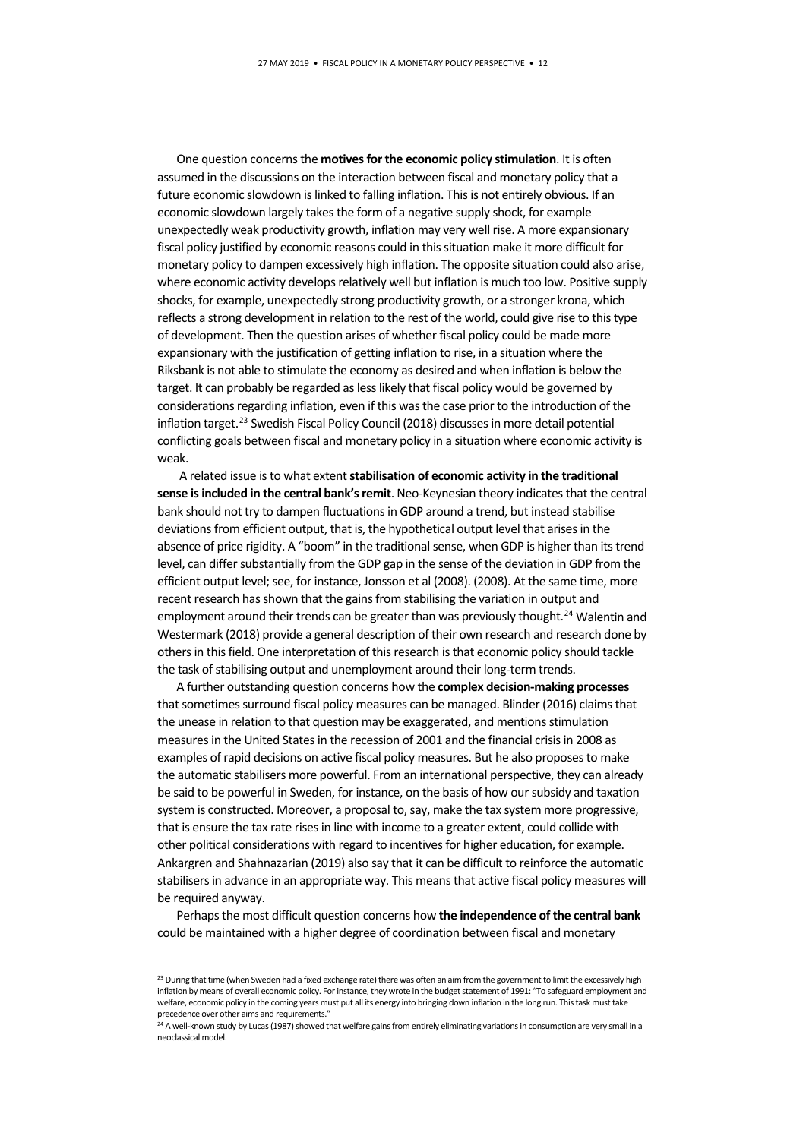One question concerns the **motives for the economic policy stimulation**. It is often assumed in the discussions on the interaction between fiscal and monetary policy that a future economic slowdown is linked to falling inflation. This is not entirely obvious. If an economic slowdown largely takes the form of a negative supply shock, for example unexpectedly weak productivity growth, inflation may very well rise. A more expansionary fiscal policy justified by economic reasons could in this situation make it more difficult for monetary policy to dampen excessively high inflation. The opposite situation could also arise, where economic activity develops relatively well but inflation is much too low. Positive supply shocks, for example, unexpectedly strong productivity growth, or a stronger krona, which reflects a strong development in relation to the rest of the world, could give rise to this type of development. Then the question arises of whether fiscal policy could be made more expansionary with the justification of getting inflation to rise, in a situation where the Riksbank is not able to stimulate the economy as desired and when inflation is below the target. It can probably be regarded as less likely that fiscal policy would be governed by considerations regarding inflation, even if this was the case prior to the introduction of the inflation target.[23](#page-11-0) Swedish Fiscal Policy Council (2018) discusses in more detail potential conflicting goals between fiscal and monetary policy in a situation where economic activity is weak.

A related issue is to what extent **stabilisation of economic activity in the traditional sense is included in the central bank's remit**. Neo-Keynesian theory indicates that the central bank should not try to dampen fluctuations in GDP around a trend, but instead stabilise deviations from efficient output, that is, the hypothetical output level that arises in the absence of price rigidity. A "boom" in the traditional sense, when GDP is higher than its trend level, can differ substantially from the GDP gap in the sense of the deviation in GDP from the efficient output level; see, for instance, Jonsson et al (2008). (2008). At the same time, more recent research has shown that the gains from stabilising the variation in output and employment around their trends can be greater than was previously thought.<sup>[24](#page-11-1)</sup> Walentin and Westermark (2018) provide a general description of their own research and research done by others in this field. One interpretation of this research is that economic policy should tackle the task of stabilising output and unemployment around their long-term trends.

A further outstanding question concerns how the **complex decision-making processes** that sometimes surround fiscal policy measures can be managed. Blinder (2016) claims that the unease in relation to that question may be exaggerated, and mentions stimulation measures in the United States in the recession of 2001 and the financial crisis in 2008 as examples of rapid decisions on active fiscal policy measures. But he also proposes to make the automatic stabilisers more powerful. From an international perspective, they can already be said to be powerful in Sweden, for instance, on the basis of how our subsidy and taxation system is constructed. Moreover, a proposal to, say, make the tax system more progressive, that is ensure the tax rate rises in line with income to a greater extent, could collide with other political considerations with regard to incentives for higher education, for example. Ankargren and Shahnazarian (2019) also say that it can be difficult to reinforce the automatic stabilisers in advance in an appropriate way. This means that active fiscal policy measures will be required anyway.

Perhaps the most difficult question concerns how **the independence of the central bank** could be maintained with a higher degree of coordination between fiscal and monetary

<span id="page-11-0"></span><sup>&</sup>lt;sup>23</sup> During that time (when Sweden had a fixed exchange rate) there was often an aim from the government to limit the excessively high inflation by means of overall economic policy. For instance, they wrote in the budget statement of 1991: "To safeguard employment and welfare, economic policy in the coming years must put all its energy into bringing down inflation in the long run. This task must take precedence over other aims and requirements."

<span id="page-11-1"></span> $^{24}$  A well-known study by Lucas (1987) showed that welfare gains from entirely eliminating variations in consumption are very small in a neoclassical model.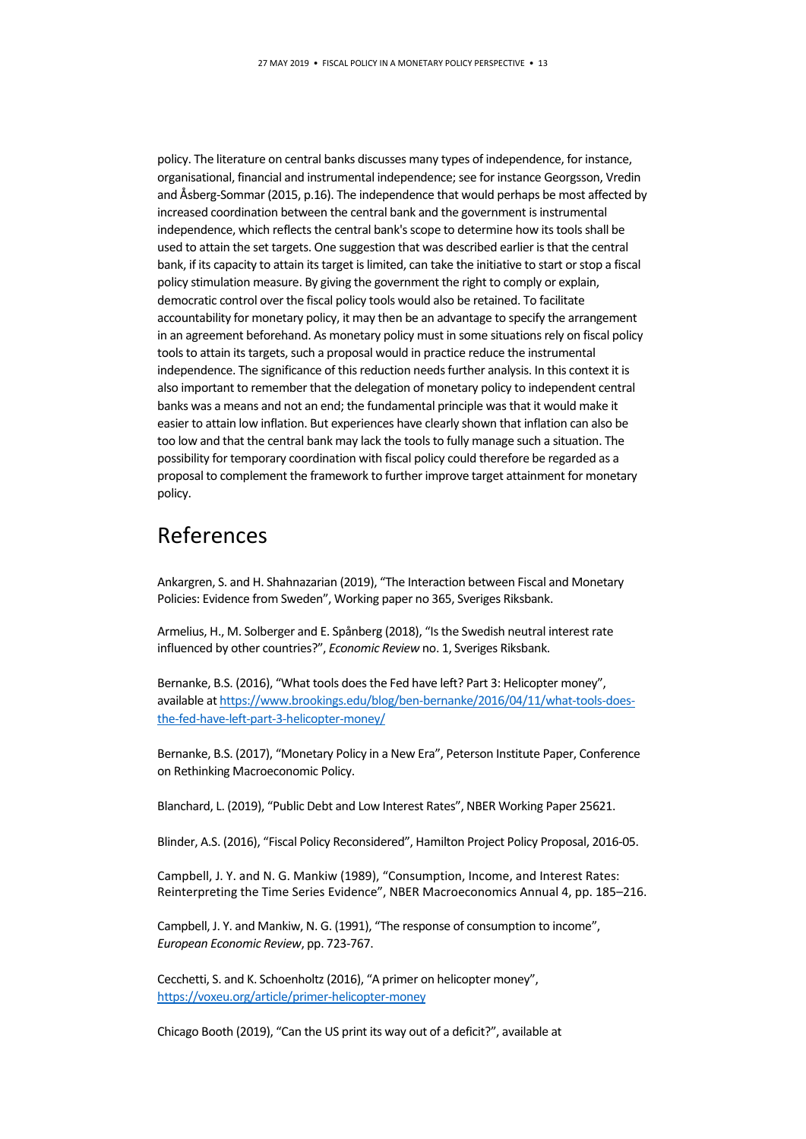policy. The literature on central banks discusses many types of independence, for instance, organisational, financial and instrumental independence; see for instance Georgsson, Vredin and Åsberg-Sommar (2015, p.16). The independence that would perhaps be most affected by increased coordination between the central bank and the government is instrumental independence, which reflects the central bank's scope to determine how its tools shall be used to attain the set targets. One suggestion that was described earlier is that the central bank, if its capacity to attain its target is limited, can take the initiative to start or stop a fiscal policy stimulation measure. By giving the government the right to comply or explain, democratic control over the fiscal policy tools would also be retained. To facilitate accountability for monetary policy, it may then be an advantage to specify the arrangement in an agreement beforehand. As monetary policy must in some situations rely on fiscal policy tools to attain its targets, such a proposal would in practice reduce the instrumental independence. The significance of this reduction needs further analysis. In this context it is also important to remember that the delegation of monetary policy to independent central banks was a means and not an end; the fundamental principle was that it would make it easier to attain low inflation. But experiences have clearly shown that inflation can also be too low and that the central bank may lack the tools to fully manage such a situation. The possibility for temporary coordination with fiscal policy could therefore be regarded as a proposal to complement the framework to further improve target attainment for monetary policy.

# References

Ankargren, S. and H. Shahnazarian (2019), "The Interaction between Fiscal and Monetary Policies: Evidence from Sweden", Working paper no 365, Sveriges Riksbank.

Armelius, H., M. Solberger and E. Spånberg (2018), "Is the Swedish neutral interest rate influenced by other countries?", *Economic Review* no. 1, Sveriges Riksbank.

Bernanke, B.S. (2016), "What tools does the Fed have left? Part 3: Helicopter money", available a[t https://www.brookings.edu/blog/ben-bernanke/2016/04/11/what-tools-does](https://www.brookings.edu/blog/ben-bernanke/2016/04/11/what-tools-does-the-fed-have-left-part-3-helicopter-money/)[the-fed-have-left-part-3-helicopter-money/](https://www.brookings.edu/blog/ben-bernanke/2016/04/11/what-tools-does-the-fed-have-left-part-3-helicopter-money/)

Bernanke, B.S. (2017), "Monetary Policy in a New Era", Peterson Institute Paper, Conference on Rethinking Macroeconomic Policy.

Blanchard, L. (2019), "Public Debt and Low Interest Rates", NBER Working Paper 25621.

Blinder, A.S. (2016), "Fiscal Policy Reconsidered", Hamilton Project Policy Proposal, 2016-05.

Campbell, J. Y. and N. G. Mankiw (1989), "Consumption, Income, and Interest Rates: Reinterpreting the Time Series Evidence", NBER Macroeconomics Annual 4, pp. 185–216.

Campbell, J. Y. and Mankiw, N. G. (1991), "The response of consumption to income", *European Economic Review*, pp. 723-767.

Cecchetti, S. and K. Schoenholtz (2016), "A primer on helicopter money", <https://voxeu.org/article/primer-helicopter-money>

Chicago Booth (2019), "Can the US print its way out of a deficit?", available at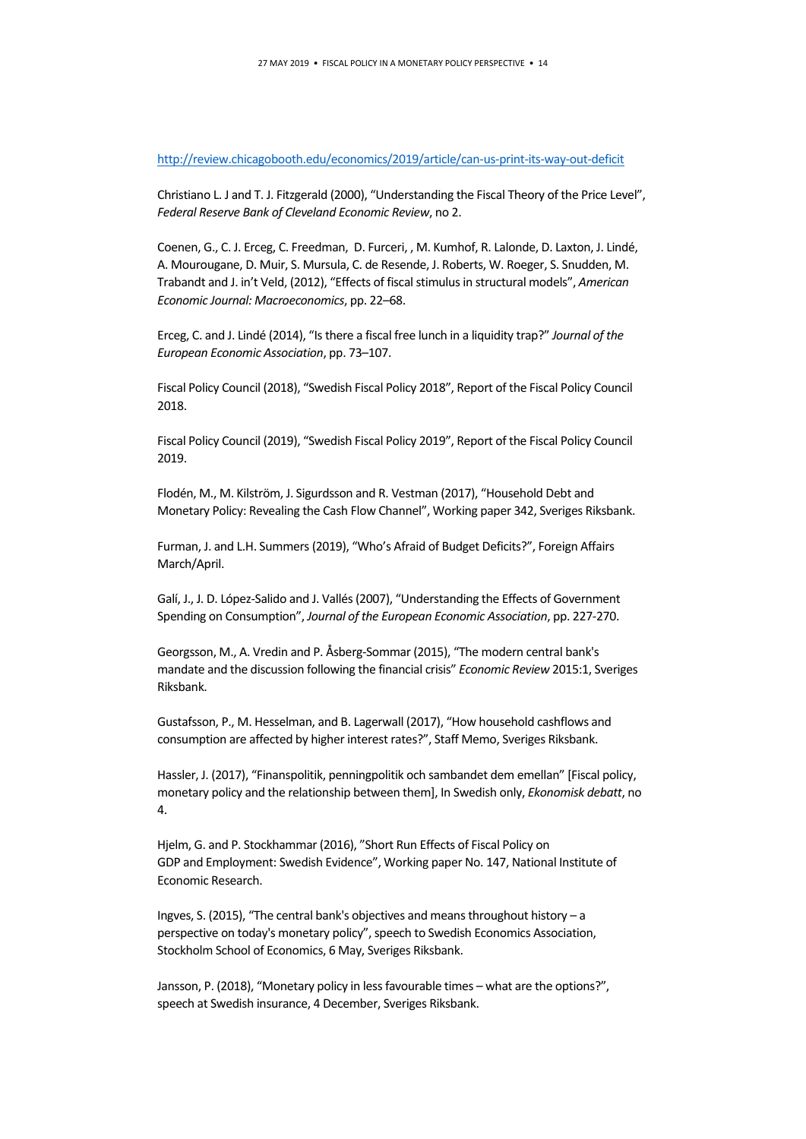#### <http://review.chicagobooth.edu/economics/2019/article/can-us-print-its-way-out-deficit>

Christiano L. J and T. J. Fitzgerald (2000), "Understanding the Fiscal Theory of the Price Level", *Federal Reserve Bank of Cleveland Economic Review*, no 2.

Coenen, G., C. J. Erceg, C. Freedman, D. Furceri, , M. Kumhof, R. Lalonde, D. Laxton, J. Lindé, A. Mourougane, D. Muir, S. Mursula, C. de Resende, J. Roberts, W. Roeger, S. Snudden, M. Trabandt and J. in't Veld, (2012), "Effects of fiscal stimulus in structural models", *American Economic Journal: Macroeconomics*, pp. 22–68.

Erceg, C. and J. Lindé (2014), "Is there a fiscal free lunch in a liquidity trap?" *Journal of the European Economic Association*, pp. 73–107.

Fiscal Policy Council (2018), "Swedish Fiscal Policy 2018", Report of the Fiscal Policy Council 2018.

Fiscal Policy Council (2019), "Swedish Fiscal Policy 2019", Report of the Fiscal Policy Council 2019.

Flodén, M., M. Kilström, J. Sigurdsson and R. Vestman (2017), "Household Debt and Monetary Policy: Revealing the Cash Flow Channel", Working paper 342, Sveriges Riksbank.

Furman, J. and L.H. Summers (2019), "Who's Afraid of Budget Deficits?", Foreign Affairs March/April.

Galí, J., J. D. López-Salido and J. Vallés (2007), "Understanding the Effects of Government Spending on Consumption", *Journal of the European Economic Association*, pp. 227-270.

Georgsson, M., A. Vredin and P. Åsberg-Sommar (2015), "The modern central bank's mandate and the discussion following the financial crisis" *Economic Review* 2015:1, Sveriges Riksbank.

Gustafsson, P., M. Hesselman, and B. Lagerwall (2017), "How household cashflows and consumption are affected by higher interest rates?", Staff Memo, Sveriges Riksbank.

Hassler, J. (2017), "Finanspolitik, penningpolitik och sambandet dem emellan" [Fiscal policy, monetary policy and the relationship between them], In Swedish only, *Ekonomisk debatt*, no 4.

Hjelm, G. and P. Stockhammar (2016), "Short Run Effects of Fiscal Policy on GDP and Employment: Swedish Evidence", Working paper No. 147, National Institute of Economic Research.

Ingves, S. (2015), "The central bank's objectives and means throughout history – a perspective on today's monetary policy", speech to Swedish Economics Association, Stockholm School of Economics, 6 May, Sveriges Riksbank.

Jansson, P. (2018), "Monetary policy in less favourable times – what are the options?", speech at Swedish insurance, 4 December, Sveriges Riksbank.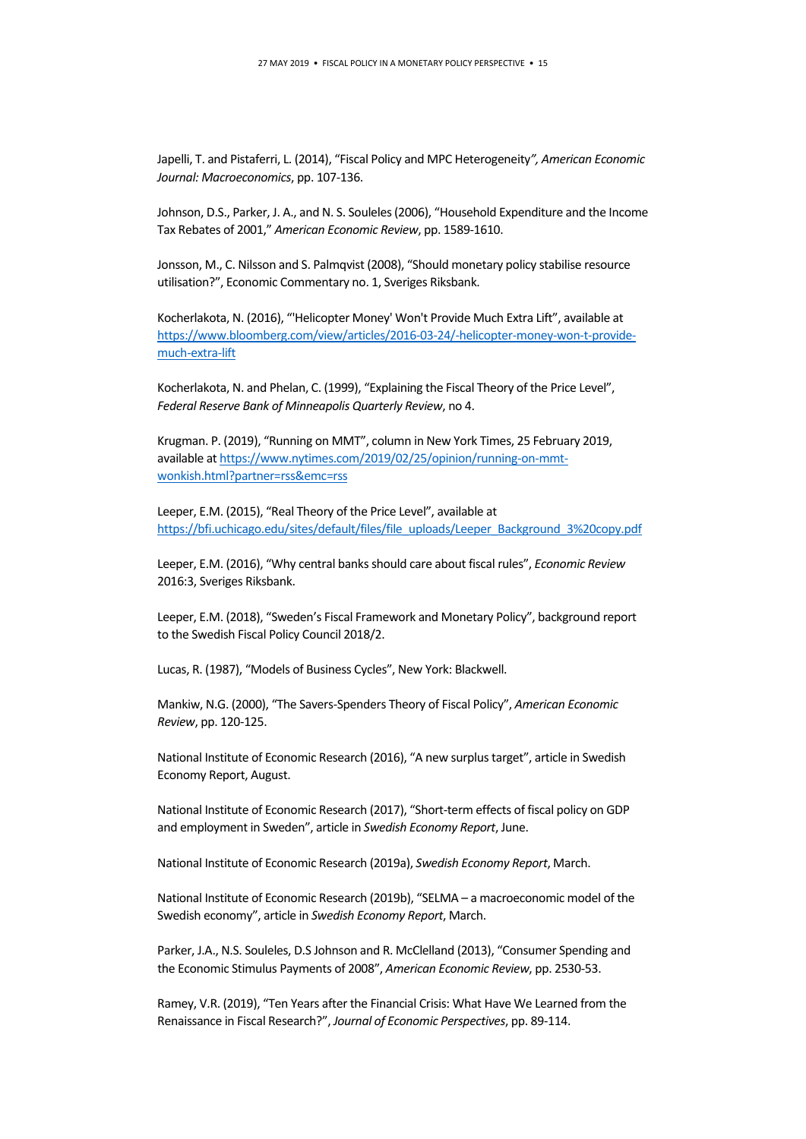Japelli, T. and Pistaferri, L. (2014), "Fiscal Policy and MPC Heterogeneity*", American Economic Journal: Macroeconomics*, pp. 107-136.

Johnson, D.S., Parker, J. A., and N. S. Souleles(2006), "Household Expenditure and the Income Tax Rebates of 2001," *American Economic Review*, pp. 1589-1610.

Jonsson, M., C. Nilsson and S. Palmqvist (2008), "Should monetary policy stabilise resource utilisation?", Economic Commentary no. 1, Sveriges Riksbank.

Kocherlakota, N. (2016), "'Helicopter Money' Won't Provide Much Extra Lift", available at [https://www.bloomberg.com/view/articles/2016-03-24/-helicopter-money-won-t-provide](https://www.bloomberg.com/view/articles/2016-03-24/-helicopter-money-won-t-provide-much-extra-lift)[much-extra-lift](https://www.bloomberg.com/view/articles/2016-03-24/-helicopter-money-won-t-provide-much-extra-lift)

Kocherlakota, N. and Phelan, C. (1999), "Explaining the Fiscal Theory of the Price Level", *Federal Reserve Bank of Minneapolis Quarterly Review*, no 4.

Krugman. P. (2019), "Running on MMT", column in New York Times, 25 February 2019, available a[t https://www.nytimes.com/2019/02/25/opinion/running-on-mmt](https://www.nytimes.com/2019/02/25/opinion/running-on-mmt-wonkish.html?partner=rss&emc=rss)[wonkish.html?partner=rss&emc=rss](https://www.nytimes.com/2019/02/25/opinion/running-on-mmt-wonkish.html?partner=rss&emc=rss)

Leeper, E.M. (2015), "Real Theory of the Price Level", available at [https://bfi.uchicago.edu/sites/default/files/file\\_uploads/Leeper\\_Background\\_3%20copy.pdf](https://bfi.uchicago.edu/sites/default/files/file_uploads/Leeper_Background_3%20copy.pdf)

Leeper, E.M. (2016), "Why central banks should care about fiscal rules", *Economic Review* 2016:3, Sveriges Riksbank.

Leeper, E.M. (2018), "Sweden's Fiscal Framework and Monetary Policy", background report to the Swedish Fiscal Policy Council 2018/2.

Lucas, R. (1987), "Models of Business Cycles", New York: Blackwell.

Mankiw, N.G. (2000), "The Savers-Spenders Theory of Fiscal Policy", *American Economic Review*, pp. 120-125.

National Institute of Economic Research (2016), "A new surplus target", article in Swedish Economy Report, August.

National Institute of Economic Research (2017), "Short-term effects of fiscal policy on GDP and employment in Sweden", article in *Swedish Economy Report*, June.

National Institute of Economic Research (2019a), *Swedish Economy Report*, March.

National Institute of Economic Research (2019b), "SELMA – a macroeconomic model of the Swedish economy", article in *Swedish Economy Report*, March.

Parker, J.A., N.S. Souleles, D.S Johnson and R. McClelland (2013), "Consumer Spending and the Economic Stimulus Payments of 2008", *American Economic Review*, pp. 2530-53.

Ramey, V.R. (2019), "Ten Years after the Financial Crisis: What Have We Learned from the Renaissance in Fiscal Research?", *Journal of Economic Perspectives*, pp. 89-114.